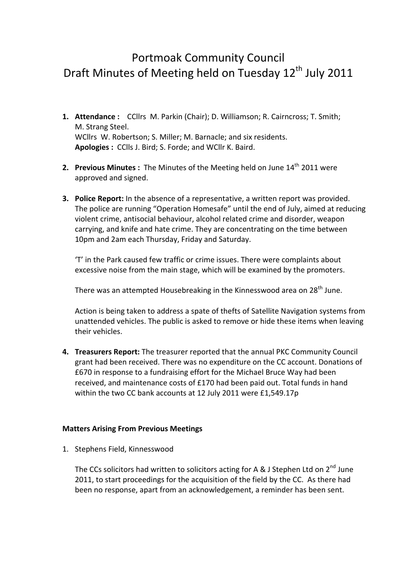# Portmoak Community Council Draft Minutes of Meeting held on Tuesday  $12<sup>th</sup>$  July 2011

- **1. Attendance:** CCllrs M. Parkin (Chair); D. Williamson; R. Cairncross; T. Smith; M. Strang Steel. WCllrs W. Robertson; S. Miller; M. Barnacle; and six residents. Apologies: CClls J. Bird; S. Forde; and WCllr K. Baird.
- **2. Previous Minutes**: The Minutes of the Meeting held on June 14<sup>th</sup> 2011 were approved and signed.
- **3. Police Report:** In the absence of a representative, a written report was provided. The police are running "Operation Homesafe" until the end of July, aimed at reducing violent crime, antisocial behaviour, alcohol related crime and disorder, weapon carrying, and knife and hate crime. They are concentrating on the time between 10pm and 2am each Thursday, Friday and Saturday.

'T' in the Park caused few traffic or crime issues. There were complaints about excessive noise from the main stage, which will be examined by the promoters.

There was an attempted Housebreaking in the Kinnesswood area on 28<sup>th</sup> June.

Action is being taken to address a spate of thefts of Satellite Navigation systems from unattended vehicles. The public is asked to remove or hide these items when leaving their vehicles.

4. Treasurers Report: The treasurer reported that the annual PKC Community Council grant had been received. There was no expenditure on the CC account. Donations of £670 in response to a fundraising effort for the Michael Bruce Way had been received, and maintenance costs of £170 had been paid out. Total funds in hand within the two CC bank accounts at 12 July 2011 were  $£1,549.17p$ 

## **Matters Arising From Previous Meetings**

1. Stephens Field, Kinnesswood

The CCs solicitors had written to solicitors acting for A & J Stephen Ltd on  $2^{nd}$  June 2011, to start proceedings for the acquisition of the field by the CC. As there had been no response, apart from an acknowledgement, a reminder has been sent.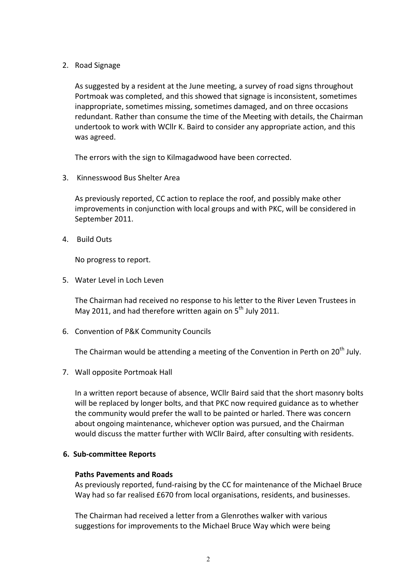2. Road Signage

As suggested by a resident at the June meeting, a survey of road signs throughout Portmoak was completed, and this showed that signage is inconsistent, sometimes inappropriate, sometimes missing, sometimes damaged, and on three occasions redundant. Rather than consume the time of the Meeting with details, the Chairman undertook to work with WCllr K. Baird to consider any appropriate action, and this was agreed.

The errors with the sign to Kilmagadwood have been corrected.

3. Kinnesswood Bus Shelter Area

As previously reported, CC action to replace the roof, and possibly make other improvements in conjunction with local groups and with PKC, will be considered in September 2011.

4. Build Outs

No progress to report.

5. Water Level in Loch Leven

The Chairman had received no response to his letter to the River Leven Trustees in May 2011, and had therefore written again on  $5<sup>th</sup>$  July 2011.

6. Convention of P&K Community Councils

The Chairman would be attending a meeting of the Convention in Perth on  $20<sup>th</sup>$  July.

7. Wall opposite Portmoak Hall

In a written report because of absence, WCIIr Baird said that the short masonry bolts will be replaced by longer bolts, and that PKC now required guidance as to whether the community would prefer the wall to be painted or harled. There was concern about ongoing maintenance, whichever option was pursued, and the Chairman would discuss the matter further with WCllr Baird, after consulting with residents.

## **6. Sub-committee Reports**

## **Paths Pavements and Roads**

As previously reported, fund-raising by the CC for maintenance of the Michael Bruce Way had so far realised £670 from local organisations, residents, and businesses.

The Chairman had received a letter from a Glenrothes walker with various suggestions for improvements to the Michael Bruce Way which were being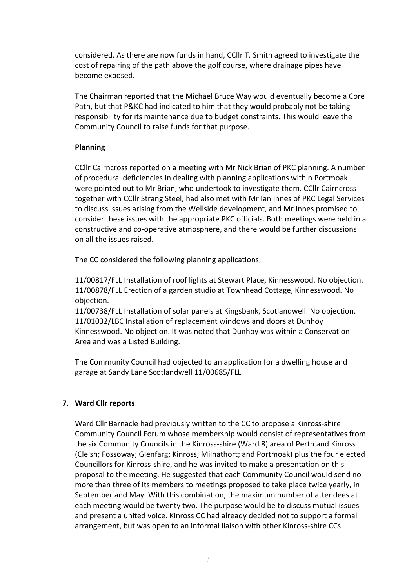considered. As there are now funds in hand, CCIIr T. Smith agreed to investigate the cost of repairing of the path above the golf course, where drainage pipes have become exposed.

The Chairman reported that the Michael Bruce Way would eventually become a Core Path, but that P&KC had indicated to him that they would probably not be taking responsibility for its maintenance due to budget constraints. This would leave the Community Council to raise funds for that purpose.

## **Planning**

CCIIr Cairncross reported on a meeting with Mr Nick Brian of PKC planning. A number of procedural deficiencies in dealing with planning applications within Portmoak were pointed out to Mr Brian, who undertook to investigate them. CCllr Cairncross together with CCllr Strang Steel, had also met with Mr Ian Innes of PKC Legal Services to discuss issues arising from the Wellside development, and Mr Innes promised to consider these issues with the appropriate PKC officials. Both meetings were held in a constructive and co-operative atmosphere, and there would be further discussions on all the issues raised.

The CC considered the following planning applications;

11/00817/FLL Installation of roof lights at Stewart Place. Kinnesswood. No objection. 11/00878/FLL Erection of a garden studio at Townhead Cottage, Kinnesswood. No objection.

11/00738/FLL Installation of solar panels at Kingsbank, Scotlandwell. No objection. 11/01032/LBC Installation of replacement windows and doors at Dunhoy Kinnesswood. No objection. It was noted that Dunhoy was within a Conservation Area and was a Listed Building.

The Community Council had objected to an application for a dwelling house and garage at Sandy Lane Scotlandwell 11/00685/FLL

# **7. Ward 
Cllr 
reports**

Ward Cllr Barnacle had previously written to the CC to propose a Kinross-shire Community Council Forum whose membership would consist of representatives from the six Community Councils in the Kinross-shire (Ward 8) area of Perth and Kinross (Cleish; Fossoway; Glenfarg; Kinross; Milnathort; and Portmoak) plus the four elected Councillors for Kinross-shire, and he was invited to make a presentation on this proposal to the meeting. He suggested that each Community Council would send no more than three of its members to meetings proposed to take place twice yearly, in September and May. With this combination, the maximum number of attendees at each meeting would be twenty two. The purpose would be to discuss mutual issues and present a united voice. Kinross CC had already decided not to support a formal arrangement, but was open to an informal liaison with other Kinross-shire CCs.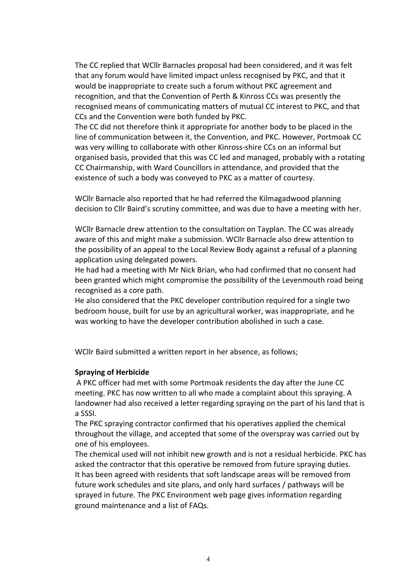The CC replied that WCllr Barnacles proposal had been considered, and it was felt that any forum would have limited impact unless recognised by PKC, and that it would be inappropriate to create such a forum without PKC agreement and recognition, and that the Convention of Perth & Kinross CCs was presently the recognised means of communicating matters of mutual CC interest to PKC, and that CCs and the Convention were both funded by PKC.

The CC did not therefore think it appropriate for another body to be placed in the line of communication between it, the Convention, and PKC. However, Portmoak CC was very willing to collaborate with other Kinross-shire CCs on an informal but organised basis, provided that this was CC led and managed, probably with a rotating CC Chairmanship, with Ward Councillors in attendance, and provided that the existence of such a body was conveyed to PKC as a matter of courtesy.

WCllr Barnacle also reported that he had referred the Kilmagadwood planning decision to Cllr Baird's scrutiny committee, and was due to have a meeting with her.

WCIIr Barnacle drew attention to the consultation on Tayplan. The CC was already aware of this and might make a submission. WCllr Barnacle also drew attention to the possibility of an appeal to the Local Review Body against a refusal of a planning application using delegated powers.

He had had a meeting with Mr Nick Brian, who had confirmed that no consent had been granted which might compromise the possibility of the Levenmouth road being recognised as a core path.

He also considered that the PKC developer contribution required for a single two bedroom house, built for use by an agricultural worker, was inappropriate, and he was working to have the developer contribution abolished in such a case.

WCllr Baird submitted a written report in her absence, as follows;

## **Spraying of Herbicide**

A PKC officer had met with some Portmoak residents the day after the June CC meeting. PKC has now written to all who made a complaint about this spraying. A landowner had also received a letter regarding spraying on the part of his land that is a SSSI.

The PKC spraying contractor confirmed that his operatives applied the chemical throughout the village, and accepted that some of the overspray was carried out by one of his employees.

The chemical used will not inhibit new growth and is not a residual herbicide. PKC has asked the contractor that this operative be removed from future spraying duties. It has been agreed with residents that soft landscape areas will be removed from future work schedules and site plans, and only hard surfaces / pathways will be sprayed in future. The PKC Environment web page gives information regarding ground maintenance and a list of FAQs.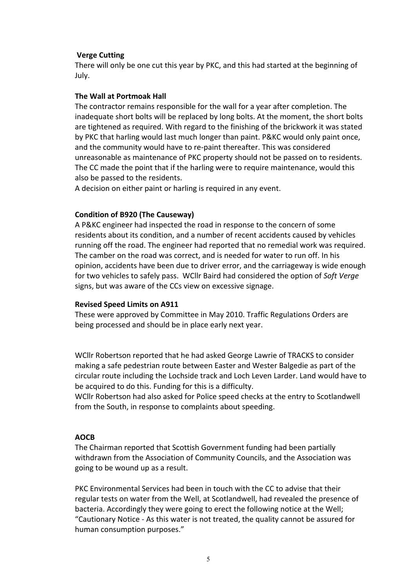## **Verge Cutting**

There will only be one cut this year by PKC, and this had started at the beginning of July.

#### **The Wall at Portmoak Hall**

The contractor remains responsible for the wall for a year after completion. The inadequate short bolts will be replaced by long bolts. At the moment, the short bolts are tightened as required. With regard to the finishing of the brickwork it was stated by PKC that harling would last much longer than paint. P&KC would only paint once, and the community would have to re-paint thereafter. This was considered unreasonable as maintenance of PKC property should not be passed on to residents. The CC made the point that if the harling were to require maintenance, would this also be passed to the residents.

A decision on either paint or harling is required in any event.

#### **Condition of B920 (The Causeway)**

A P&KC engineer had inspected the road in response to the concern of some residents about its condition, and a number of recent accidents caused by vehicles running off the road. The engineer had reported that no remedial work was required. The camber on the road was correct, and is needed for water to run off. In his opinion, accidents have been due to driver error, and the carriageway is wide enough for two vehicles to safely pass. WCllr Baird had considered the option of Soft Verge signs, but was aware of the CCs view on excessive signage.

#### **Revised Speed Limits on A911**

These were approved by Committee in May 2010. Traffic Regulations Orders are being processed and should be in place early next year.

WCIIr Robertson reported that he had asked George Lawrie of TRACKS to consider making a safe pedestrian route between Easter and Wester Balgedie as part of the circular route including the Lochside track and Loch Leven Larder. Land would have to be acquired to do this. Funding for this is a difficulty.

WCIIr Robertson had also asked for Police speed checks at the entry to Scotlandwell from the South, in response to complaints about speeding.

#### **AOCB**

The Chairman reported that Scottish Government funding had been partially withdrawn from the Association of Community Councils, and the Association was going to be wound up as a result.

PKC Environmental Services had been in touch with the CC to advise that their regular tests on water from the Well, at Scotlandwell, had revealed the presence of bacteria. Accordingly they were going to erect the following notice at the Well; "Cautionary Notice - As this water is not treated, the quality cannot be assured for human consumption purposes."